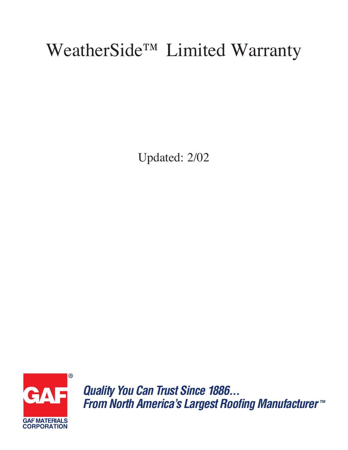## WeatherSide<sup>TM</sup> Limited Warranty

Updated: 2/02



**Quality You Can Trust Since 1886...** From North America's Largest Roofing Manufacturer™